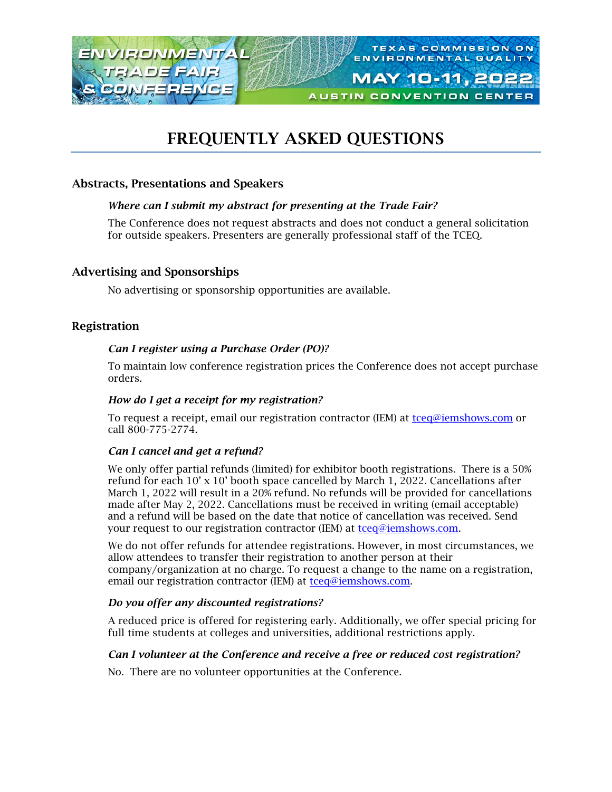

# FREQUENTLY ASKED QUESTIONS

# Abstracts, Presentations and Speakers

## *Where can I submit my abstract for presenting at the Trade Fair?*

The Conference does not request abstracts and does not conduct a general solicitation for outside speakers. Presenters are generally professional staff of the TCEQ.

## Advertising and Sponsorships

No advertising or sponsorship opportunities are available.

## Registration

## *Can I register using a Purchase Order (PO)?*

To maintain low conference registration prices the Conference does not accept purchase orders.

## *How do I get a receipt for my registration?*

To request a receipt, email our registration contractor (IEM) at [tceq@iemshows.com](mailto:tceq@iemshows.com) or call 800-775-2774.

## *Can I cancel and get a refund?*

We only offer partial refunds (limited) for exhibitor booth registrations. There is a 50% refund for each 10' x 10' booth space cancelled by March 1, 2022. Cancellations after March 1, 2022 will result in a 20% refund. No refunds will be provided for cancellations made after May 2, 2022. Cancellations must be received in writing (email acceptable) and a refund will be based on the date that notice of cancellation was received. Send your request to our registration contractor (IEM) at [tceq@iemshows.com.](mailto:tceq@iemshows.com)

We do not offer refunds for attendee registrations. However, in most circumstances, we allow attendees to transfer their registration to another person at their company/organization at no charge. To request a change to the name on a registration, email our registration contractor (IEM) at [tceq@iemshows.com.](mailto:tceq@iemshows.com)

### *Do you offer any discounted registrations?*

A reduced price is offered for registering early. Additionally, we offer special pricing for full time students at colleges and universities, additional restrictions apply.

### *Can I volunteer at the Conference and receive a free or reduced cost registration?*

No. There are no volunteer opportunities at the Conference.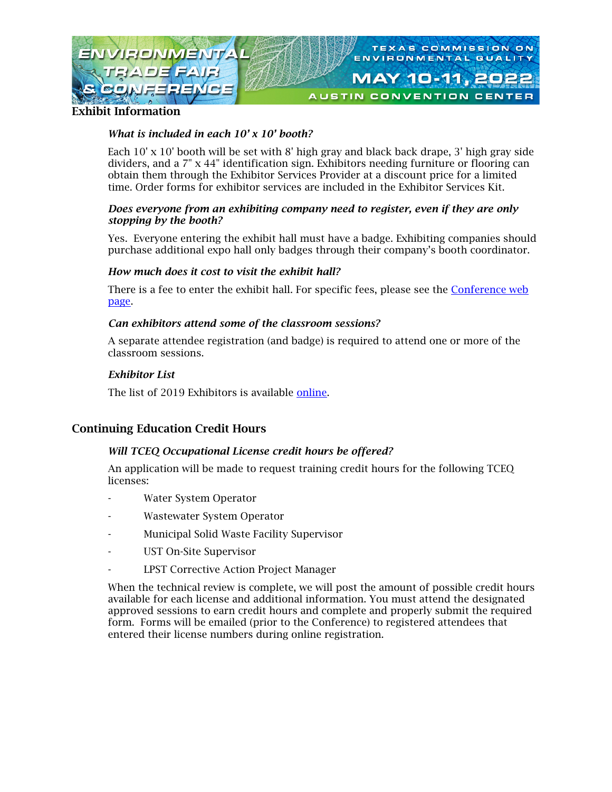

Exhibit Information

#### *What is included in each 10' x 10' booth?*

Each 10' x 10' booth will be set with 8' high gray and black back drape, 3' high gray side dividers, and a 7" x 44" identification sign. Exhibitors needing furniture or flooring can obtain them through the Exhibitor Services Provider at a discount price for a limited time. Order forms for exhibitor services are included in the Exhibitor Services Kit.

#### *Does everyone from an exhibiting company need to register, even if they are only stopping by the booth?*

Yes. Everyone entering the exhibit hall must have a badge. Exhibiting companies should purchase additional expo hall only badges through their company's booth coordinator.

#### *How much does it cost to visit the exhibit hall?*

There is a fee to enter the exhibit hall. For specific fees, please see the [Conference web](https://www.tceq.texas.gov/p2/events/etfc/etf.html)  [page.](https://www.tceq.texas.gov/p2/events/etfc/etf.html)

#### *Can exhibitors attend some of the classroom sessions?*

A separate attendee registration (and badge) is required to attend one or more of the classroom sessions.

#### *Exhibitor List*

The list of 2019 Exhibitors is available [online.](https://www.tceq.texas.gov/assets/public/assistance/events/exhibitorlistfloorplan.pdf)

# Continuing Education Credit Hours

### *Will TCEQ Occupational License credit hours be offered?*

An application will be made to request training credit hours for the following TCEQ licenses:

- Water System Operator
- Wastewater System Operator
- Municipal Solid Waste Facility Supervisor
- UST On-Site Supervisor
- LPST Corrective Action Project Manager

When the technical review is complete, we will post the amount of possible credit hours available for each license and additional information. You must attend the designated approved sessions to earn credit hours and complete and properly submit the required form. Forms will be emailed (prior to the Conference) to registered attendees that entered their license numbers during online registration.